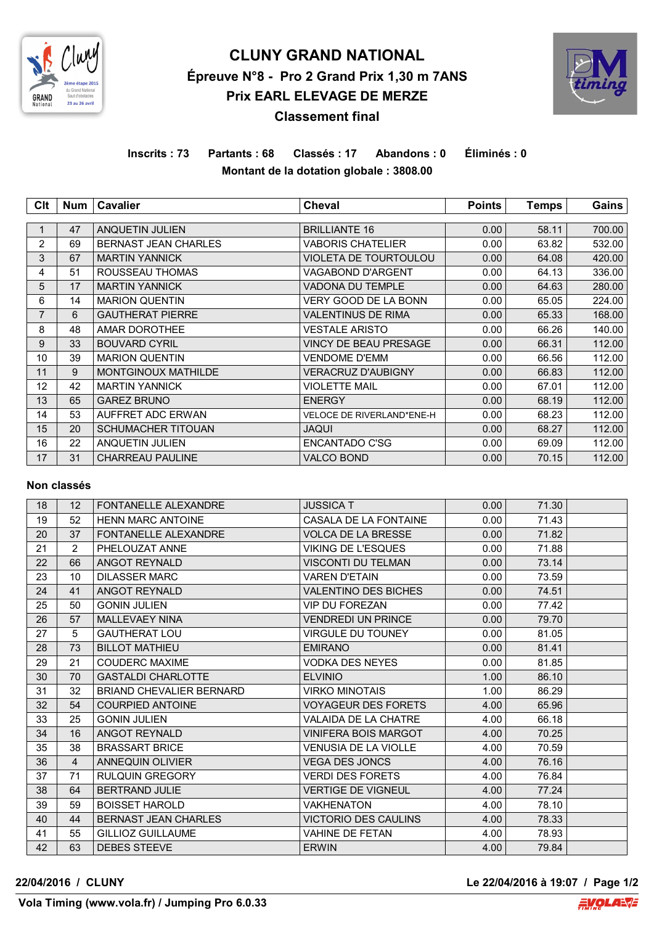

# **CLUNY GRAND NATIONAL Épreuve N°8 - Pro 2 Grand Prix 1,30 m 7ANS Prix EARL ELEVAGE DE MERZE Classement final**



## **Inscrits : 73 Partants : 68 Classés : 17 Abandons : 0 Éliminés : 0 Montant de la dotation globale : 3808.00**

| Clt            | Num | <b>Cavalier</b>             | <b>Cheval</b>             | <b>Points</b> | <b>Temps</b> | Gains  |
|----------------|-----|-----------------------------|---------------------------|---------------|--------------|--------|
|                |     |                             |                           |               |              |        |
|                | 47  | <b>ANQUETIN JULIEN</b>      | <b>BRILLIANTE 16</b>      | 0.00          | 58.11        | 700.00 |
| 2              | 69  | <b>BERNAST JEAN CHARLES</b> | VABORIS CHATELIER         | 0.00          | 63.82        | 532.00 |
| 3              | 67  | <b>MARTIN YANNICK</b>       | VIOLETA DE TOURTOULOU     | 0.00          | 64.08        | 420.00 |
| 4              | 51  | ROUSSEAU THOMAS             | VAGABOND D'ARGENT         | 0.00          | 64.13        | 336.00 |
| 5              | 17  | <b>MARTIN YANNICK</b>       | VADONA DU TEMPLE          | 0.00          | 64.63        | 280.00 |
| 6              | 14  | <b>MARION QUENTIN</b>       | VERY GOOD DE LA BONN      | 0.00          | 65.05        | 224.00 |
| $\overline{7}$ | 6   | <b>GAUTHERAT PIERRE</b>     | VALENTINUS DE RIMA        | 0.00          | 65.33        | 168.00 |
| 8              | 48  | <b>AMAR DOROTHEE</b>        | VESTALE ARISTO            | 0.00          | 66.26        | 140.00 |
| 9              | 33  | <b>BOUVARD CYRIL</b>        | VINCY DE BEAU PRESAGE     | 0.00          | 66.31        | 112.00 |
| 10             | 39  | <b>MARION QUENTIN</b>       | VENDOME D'EMM             | 0.00          | 66.56        | 112.00 |
| 11             | 9   | <b>MONTGINOUX MATHILDE</b>  | <b>VERACRUZ D'AUBIGNY</b> | 0.00          | 66.83        | 112.00 |
| 12             | 42  | <b>MARTIN YANNICK</b>       | VIOLETTE MAIL             | 0.00          | 67.01        | 112.00 |
| 13             | 65  | <b>GAREZ BRUNO</b>          | <b>ENERGY</b>             | 0.00          | 68.19        | 112.00 |
| 14             | 53  | AUFFRET ADC ERWAN           | VELOCE DE RIVERLAND*ENE-H | 0.00          | 68.23        | 112.00 |
| 15             | 20  | <b>SCHUMACHER TITOUAN</b>   | <b>JAQUI</b>              | 0.00          | 68.27        | 112.00 |
| 16             | 22  | ANQUETIN JULIEN             | ENCANTADO C'SG            | 0.00          | 69.09        | 112.00 |
| 17             | 31  | <b>CHARREAU PAULINE</b>     | <b>VALCO BOND</b>         | 0.00          | 70.15        | 112.00 |

#### **Non classés**

| 18 | 12             | FONTANELLE ALEXANDRE        | <b>JUSSICA T</b>            | 0.00 | 71.30 |  |
|----|----------------|-----------------------------|-----------------------------|------|-------|--|
| 19 | 52             | <b>HENN MARC ANTOINE</b>    | CASALA DE LA FONTAINE       | 0.00 | 71.43 |  |
| 20 | 37             | FONTANELLE ALEXANDRE        | <b>VOLCA DE LA BRESSE</b>   | 0.00 | 71.82 |  |
| 21 | 2              | PHELOUZAT ANNE              | <b>VIKING DE L'ESQUES</b>   | 0.00 | 71.88 |  |
| 22 | 66             | ANGOT REYNALD               | <b>VISCONTI DU TELMAN</b>   | 0.00 | 73.14 |  |
| 23 | 10             | <b>DILASSER MARC</b>        | <b>VAREN D'ETAIN</b>        | 0.00 | 73.59 |  |
| 24 | 41             | ANGOT REYNALD               | <b>VALENTINO DES BICHES</b> | 0.00 | 74.51 |  |
| 25 | 50             | <b>GONIN JULIEN</b>         | <b>VIP DU FOREZAN</b>       | 0.00 | 77.42 |  |
| 26 | 57             | <b>MALLEVAEY NINA</b>       | <b>VENDREDI UN PRINCE</b>   | 0.00 | 79.70 |  |
| 27 | 5              | <b>GAUTHERAT LOU</b>        | <b>VIRGULE DU TOUNEY</b>    | 0.00 | 81.05 |  |
| 28 | 73             | <b>BILLOT MATHIEU</b>       | <b>EMIRANO</b>              | 0.00 | 81.41 |  |
| 29 | 21             | <b>COUDERC MAXIME</b>       | <b>VODKA DES NEYES</b>      | 0.00 | 81.85 |  |
| 30 | 70             | <b>GASTALDI CHARLOTTE</b>   | <b>ELVINIO</b>              | 1.00 | 86.10 |  |
| 31 | 32             | BRIAND CHEVALIER BERNARD    | <b>VIRKO MINOTAIS</b>       | 1.00 | 86.29 |  |
| 32 | 54             | <b>COURPIED ANTOINE</b>     | <b>VOYAGEUR DES FORETS</b>  | 4.00 | 65.96 |  |
| 33 | 25             | <b>GONIN JULIEN</b>         | <b>VALAIDA DE LA CHATRE</b> | 4.00 | 66.18 |  |
| 34 | 16             | ANGOT REYNALD               | <b>VINIFERA BOIS MARGOT</b> | 4.00 | 70.25 |  |
| 35 | 38             | <b>BRASSART BRICE</b>       | <b>VENUSIA DE LA VIOLLE</b> | 4.00 | 70.59 |  |
| 36 | $\overline{4}$ | ANNEQUIN OLIVIER            | <b>VEGA DES JONCS</b>       | 4.00 | 76.16 |  |
| 37 | 71             | <b>RULQUIN GREGORY</b>      | <b>VERDI DES FORETS</b>     | 4.00 | 76.84 |  |
| 38 | 64             | <b>BERTRAND JULIE</b>       | <b>VERTIGE DE VIGNEUL</b>   | 4.00 | 77.24 |  |
| 39 | 59             | <b>BOISSET HAROLD</b>       | <b>VAKHENATON</b>           | 4.00 | 78.10 |  |
| 40 | 44             | <b>BERNAST JEAN CHARLES</b> | <b>VICTORIO DES CAULINS</b> | 4.00 | 78.33 |  |
| 41 | 55             | <b>GILLIOZ GUILLAUME</b>    | <b>VAHINE DE FETAN</b>      | 4.00 | 78.93 |  |
| 42 | 63             | <b>DEBES STEEVE</b>         | <b>ERWIN</b>                | 4.00 | 79.84 |  |

**22/04/2016 / CLUNY Le 22/04/2016 à 19:07 / Page 1/2**